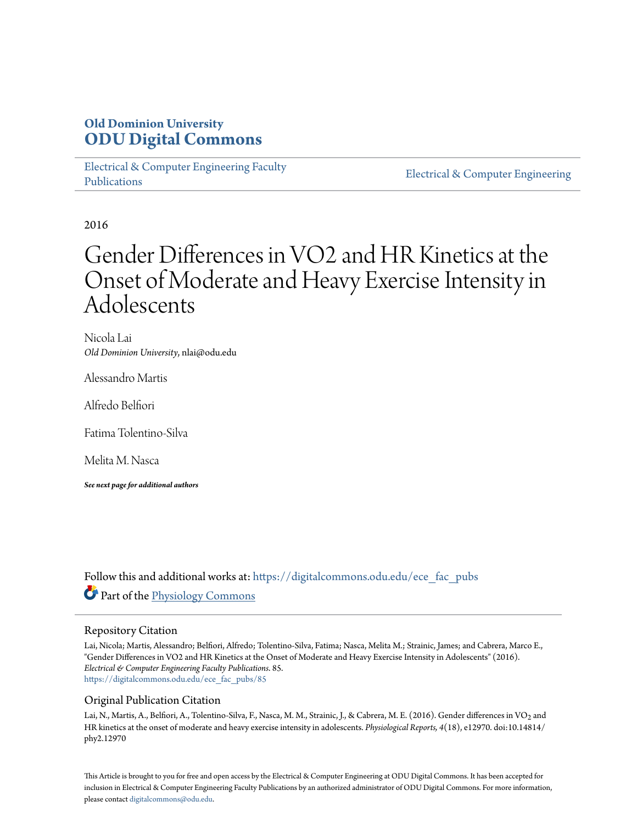### **Old Dominion University [ODU Digital Commons](https://digitalcommons.odu.edu?utm_source=digitalcommons.odu.edu%2Fece_fac_pubs%2F85&utm_medium=PDF&utm_campaign=PDFCoverPages)**

[Electrical & Computer Engineering Faculty](https://digitalcommons.odu.edu/ece_fac_pubs?utm_source=digitalcommons.odu.edu%2Fece_fac_pubs%2F85&utm_medium=PDF&utm_campaign=PDFCoverPages) [Publications](https://digitalcommons.odu.edu/ece_fac_pubs?utm_source=digitalcommons.odu.edu%2Fece_fac_pubs%2F85&utm_medium=PDF&utm_campaign=PDFCoverPages)

[Electrical & Computer Engineering](https://digitalcommons.odu.edu/ece?utm_source=digitalcommons.odu.edu%2Fece_fac_pubs%2F85&utm_medium=PDF&utm_campaign=PDFCoverPages)

2016

# Gender Differences in VO2 and HR Kinetics at the Onset of Moderate and Heavy Exercise Intensity in Adolescents

Nicola Lai *Old Dominion University*, nlai@odu.edu

Alessandro Martis

Alfredo Belfiori

Fatima Tolentino-Silva

Melita M. Nasca

*See next page for additional authors*

Follow this and additional works at: [https://digitalcommons.odu.edu/ece\\_fac\\_pubs](https://digitalcommons.odu.edu/ece_fac_pubs?utm_source=digitalcommons.odu.edu%2Fece_fac_pubs%2F85&utm_medium=PDF&utm_campaign=PDFCoverPages) Part of the [Physiology Commons](http://network.bepress.com/hgg/discipline/69?utm_source=digitalcommons.odu.edu%2Fece_fac_pubs%2F85&utm_medium=PDF&utm_campaign=PDFCoverPages)

#### Repository Citation

Lai, Nicola; Martis, Alessandro; Belfiori, Alfredo; Tolentino-Silva, Fatima; Nasca, Melita M.; Strainic, James; and Cabrera, Marco E., "Gender Differences in VO2 and HR Kinetics at the Onset of Moderate and Heavy Exercise Intensity in Adolescents" (2016). *Electrical & Computer Engineering Faculty Publications*. 85. [https://digitalcommons.odu.edu/ece\\_fac\\_pubs/85](https://digitalcommons.odu.edu/ece_fac_pubs/85?utm_source=digitalcommons.odu.edu%2Fece_fac_pubs%2F85&utm_medium=PDF&utm_campaign=PDFCoverPages)

#### Original Publication Citation

Lai, N., Martis, A., Belfiori, A., Tolentino-Silva, F., Nasca, M. M., Strainic, J., & Cabrera, M. E. (2016). Gender differences in VO<sub>2</sub> and HR kinetics at the onset of moderate and heavy exercise intensity in adolescents. *Physiological Reports, 4*(18), e12970. doi:10.14814/ phy2.12970

This Article is brought to you for free and open access by the Electrical & Computer Engineering at ODU Digital Commons. It has been accepted for inclusion in Electrical & Computer Engineering Faculty Publications by an authorized administrator of ODU Digital Commons. For more information, please contact [digitalcommons@odu.edu](mailto:digitalcommons@odu.edu).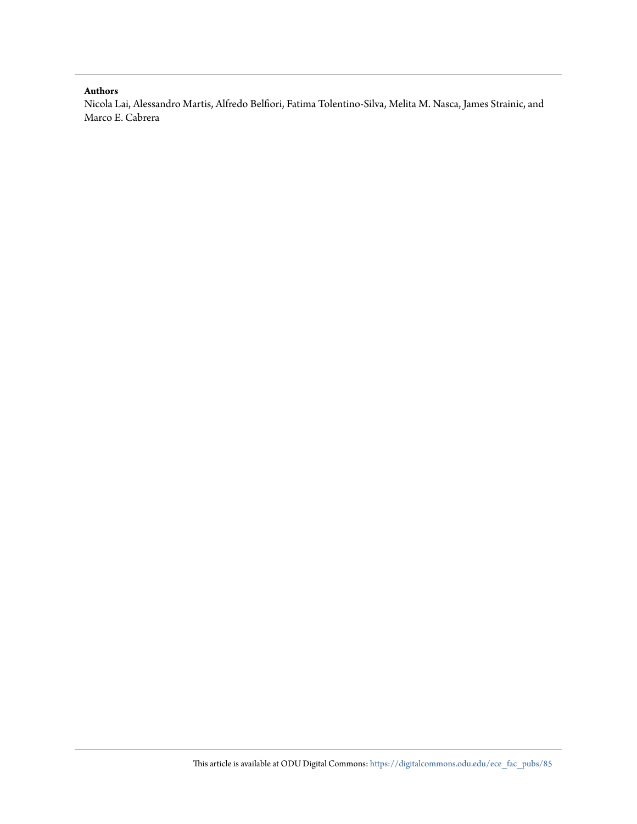#### **Authors**

Nicola Lai, Alessandro Martis, Alfredo Belfiori, Fatima Tolentino-Silva, Melita M. Nasca, James Strainic, and Marco E. Cabrera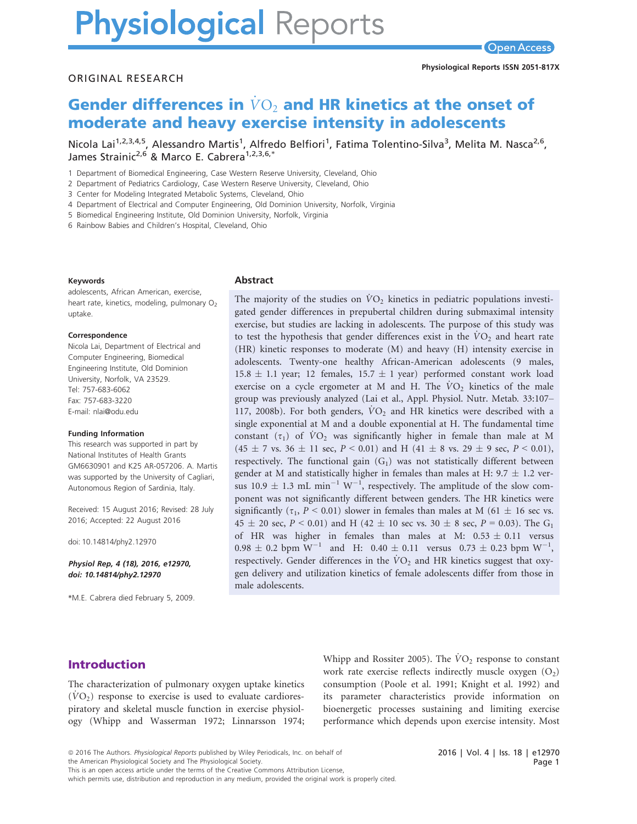# **Physiological Reports**

#### ORIGINAL RESEARCH

## Gender differences in  $\dot{V}O_2$  and HR kinetics at the onset of moderate and heavy exercise intensity in adolescents

Nicola Lai<sup>1,2,3,4,5</sup>, Alessandro Martis<sup>1</sup>, Alfredo Belfiori<sup>1</sup>, Fatima Tolentino-Silva<sup>3</sup>, Melita M. Nasca<sup>2,6</sup>, James Strainic<sup>2,6</sup> & Marco E. Cabrera<sup>1,2,3,6,\*</sup>

1 Department of Biomedical Engineering, Case Western Reserve University, Cleveland, Ohio

2 Department of Pediatrics Cardiology, Case Western Reserve University, Cleveland, Ohio

3 Center for Modeling Integrated Metabolic Systems, Cleveland, Ohio

4 Department of Electrical and Computer Engineering, Old Dominion University, Norfolk, Virginia

5 Biomedical Engineering Institute, Old Dominion University, Norfolk, Virginia

6 Rainbow Babies and Children's Hospital, Cleveland, Ohio

#### Keywords

adolescents, African American, exercise, heart rate, kinetics, modeling, pulmonary  $O<sub>2</sub>$ uptake.

#### Correspondence

Nicola Lai, Department of Electrical and Computer Engineering, Biomedical Engineering Institute, Old Dominion University, Norfolk, VA 23529. Tel: 757-683-6062 Fax: 757-683-3220 E-mail: nlai@odu.edu

#### Funding Information

This research was supported in part by National Institutes of Health Grants GM6630901 and K25 AR-057206. A. Martis was supported by the University of Cagliari, Autonomous Region of Sardinia, Italy.

Received: 15 August 2016; Revised: 28 July 2016; Accepted: 22 August 2016

doi: 10.14814/phy2.12970

Physiol Rep, 4 (18), 2016, e12970, doi: [10.14814/phy2.12970](info:doi/10.14814/phy2.12970)

\*M.E. Cabrera died February 5, 2009.

#### Abstract

The majority of the studies on  $\dot{V}O_2$  kinetics in pediatric populations investigated gender differences in prepubertal children during submaximal intensity exercise, but studies are lacking in adolescents. The purpose of this study was to test the hypothesis that gender differences exist in the  $\dot{V}O_2$  and heart rate (HR) kinetic responses to moderate (M) and heavy (H) intensity exercise in adolescents. Twenty-one healthy African-American adolescents (9 males, 15.8  $\pm$  1.1 year; 12 females, 15.7  $\pm$  1 year) performed constant work load exercise on a cycle ergometer at M and H. The  $VO<sub>2</sub>$  kinetics of the male group was previously analyzed (Lai et al., Appl. Physiol. Nutr. Metab. 33:107– 117, 2008b). For both genders,  $\dot{V}O_2$  and HR kinetics were described with a single exponential at M and a double exponential at H. The fundamental time constant  $(\tau_1)$  of  $\dot{V}O_2$  was significantly higher in female than male at M  $(45 \pm 7 \text{ vs. } 36 \pm 11 \text{ sec}, P < 0.01)$  and H  $(41 \pm 8 \text{ vs. } 29 \pm 9 \text{ sec}, P < 0.01)$ , respectively. The functional gain  $(G_1)$  was not statistically different between gender at M and statistically higher in females than males at H: 9.7  $\pm$  1.2 versus  $10.9 \pm 1.3$  mL min<sup>-1</sup> W<sup>-1</sup>, respectively. The amplitude of the slow component was not significantly different between genders. The HR kinetics were significantly ( $\tau_1$ , P < 0.01) slower in females than males at M (61  $\pm$  16 sec vs. 45  $\pm$  20 sec, P < 0.01) and H (42  $\pm$  10 sec vs. 30  $\pm$  8 sec, P = 0.03). The G<sub>1</sub> of HR was higher in females than males at M:  $0.53 \pm 0.11$  versus  $0.98 \pm 0.2$  bpm W<sup>-1</sup> and H:  $0.40 \pm 0.11$  versus  $0.73 \pm 0.23$  bpm W<sup>-1</sup>, respectively. Gender differences in the  $\dot{V}O_2$  and HR kinetics suggest that oxygen delivery and utilization kinetics of female adolescents differ from those in male adolescents.

#### Introduction

The characterization of pulmonary oxygen uptake kinetics  $(VO<sub>2</sub>)$  response to exercise is used to evaluate cardiorespiratory and skeletal muscle function in exercise physiology (Whipp and Wasserman 1972; Linnarsson 1974; Whipp and Rossiter 2005). The  $\dot{V}O_2$  response to constant work rate exercise reflects indirectly muscle oxygen  $(O<sub>2</sub>)$ consumption (Poole et al. 1991; Knight et al. 1992) and its parameter characteristics provide information on bioenergetic processes sustaining and limiting exercise performance which depends upon exercise intensity. Most

the American Physiological Society and The Physiological Society.

This is an open access article under the terms of the [Creative Commons Attribution](http://creativecommons.org/licenses/by/4.0/) License,

which permits use, distribution and reproduction in any medium, provided the original work is properly cited.

2016 | Vol. 4 | Iss. 18 | e12970 Page 1

<sup>ª</sup> 2016 The Authors. Physiological Reports published by Wiley Periodicals, Inc. on behalf of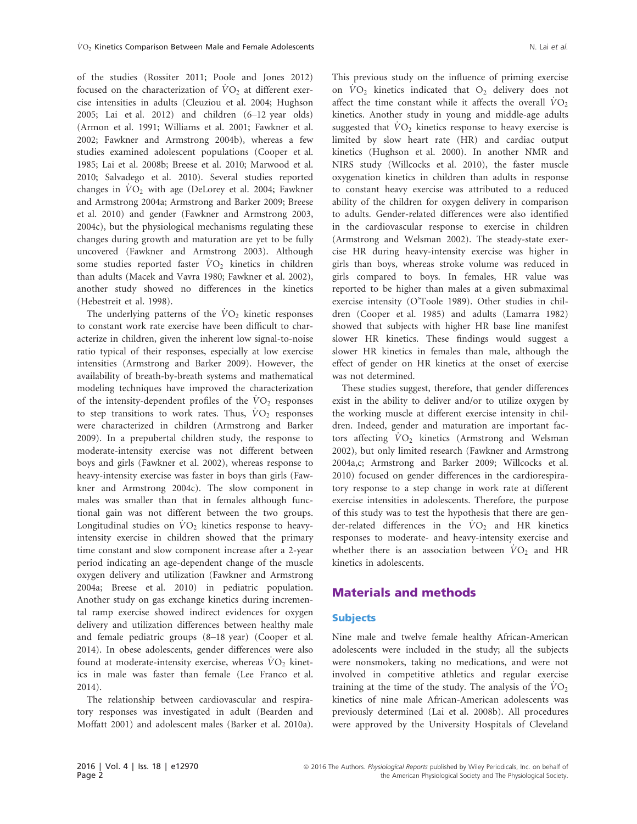of the studies (Rossiter 2011; Poole and Jones 2012) focused on the characterization of  $VO<sub>2</sub>$  at different exercise intensities in adults (Cleuziou et al. 2004; Hughson 2005; Lai et al. 2012) and children (6–12 year olds) (Armon et al. 1991; Williams et al. 2001; Fawkner et al. 2002; Fawkner and Armstrong 2004b), whereas a few studies examined adolescent populations (Cooper et al. 1985; Lai et al. 2008b; Breese et al. 2010; Marwood et al. 2010; Salvadego et al. 2010). Several studies reported changes in  $VO<sub>2</sub>$  with age (DeLorey et al. 2004; Fawkner and Armstrong 2004a; Armstrong and Barker 2009; Breese et al. 2010) and gender (Fawkner and Armstrong 2003, 2004c), but the physiological mechanisms regulating these changes during growth and maturation are yet to be fully uncovered (Fawkner and Armstrong 2003). Although some studies reported faster  $\dot{V}O_2$  kinetics in children than adults (Macek and Vavra 1980; Fawkner et al. 2002), another study showed no differences in the kinetics (Hebestreit et al. 1998).

The underlying patterns of the  $\dot{V}O_2$  kinetic responses to constant work rate exercise have been difficult to characterize in children, given the inherent low signal-to-noise ratio typical of their responses, especially at low exercise intensities (Armstrong and Barker 2009). However, the availability of breath-by-breath systems and mathematical modeling techniques have improved the characterization of the intensity-dependent profiles of the  $\rm\dot{V}O_2$  responses to step transitions to work rates. Thus,  $VO<sub>2</sub>$  responses were characterized in children (Armstrong and Barker 2009). In a prepubertal children study, the response to moderate-intensity exercise was not different between boys and girls (Fawkner et al. 2002), whereas response to heavy-intensity exercise was faster in boys than girls (Fawkner and Armstrong 2004c). The slow component in males was smaller than that in females although functional gain was not different between the two groups. Longitudinal studies on  $\dot{V}O_2$  kinetics response to heavyintensity exercise in children showed that the primary time constant and slow component increase after a 2-year period indicating an age-dependent change of the muscle oxygen delivery and utilization (Fawkner and Armstrong 2004a; Breese et al. 2010) in pediatric population. Another study on gas exchange kinetics during incremental ramp exercise showed indirect evidences for oxygen delivery and utilization differences between healthy male and female pediatric groups (8–18 year) (Cooper et al. 2014). In obese adolescents, gender differences were also found at moderate-intensity exercise, whereas  $\dot{V}O_2$  kinetics in male was faster than female (Lee Franco et al. 2014).

The relationship between cardiovascular and respiratory responses was investigated in adult (Bearden and Moffatt 2001) and adolescent males (Barker et al. 2010a).

This previous study on the influence of priming exercise on  $VO_2$  kinetics indicated that  $O_2$  delivery does not affect the time constant while it affects the overall  $\dot{V}O_2$ kinetics. Another study in young and middle-age adults suggested that  $\dot{V}O_2$  kinetics response to heavy exercise is limited by slow heart rate (HR) and cardiac output kinetics (Hughson et al. 2000). In another NMR and NIRS study (Willcocks et al. 2010), the faster muscle oxygenation kinetics in children than adults in response to constant heavy exercise was attributed to a reduced ability of the children for oxygen delivery in comparison to adults. Gender-related differences were also identified in the cardiovascular response to exercise in children (Armstrong and Welsman 2002). The steady-state exercise HR during heavy-intensity exercise was higher in girls than boys, whereas stroke volume was reduced in girls compared to boys. In females, HR value was reported to be higher than males at a given submaximal exercise intensity (O'Toole 1989). Other studies in children (Cooper et al. 1985) and adults (Lamarra 1982) showed that subjects with higher HR base line manifest slower HR kinetics. These findings would suggest a slower HR kinetics in females than male, although the effect of gender on HR kinetics at the onset of exercise was not determined.

These studies suggest, therefore, that gender differences exist in the ability to deliver and/or to utilize oxygen by the working muscle at different exercise intensity in children. Indeed, gender and maturation are important factors affecting  $VO<sub>2</sub>$  kinetics (Armstrong and Welsman 2002), but only limited research (Fawkner and Armstrong 2004a,c; Armstrong and Barker 2009; Willcocks et al. 2010) focused on gender differences in the cardiorespiratory response to a step change in work rate at different exercise intensities in adolescents. Therefore, the purpose of this study was to test the hypothesis that there are gender-related differences in the  $\dot{V}O_2$  and HR kinetics responses to moderate- and heavy-intensity exercise and whether there is an association between  $\dot{V}O_2$  and HR kinetics in adolescents.

#### Materials and methods

#### **Subjects**

Nine male and twelve female healthy African-American adolescents were included in the study; all the subjects were nonsmokers, taking no medications, and were not involved in competitive athletics and regular exercise training at the time of the study. The analysis of the  $\dot{V}O_2$ kinetics of nine male African-American adolescents was previously determined (Lai et al. 2008b). All procedures were approved by the University Hospitals of Cleveland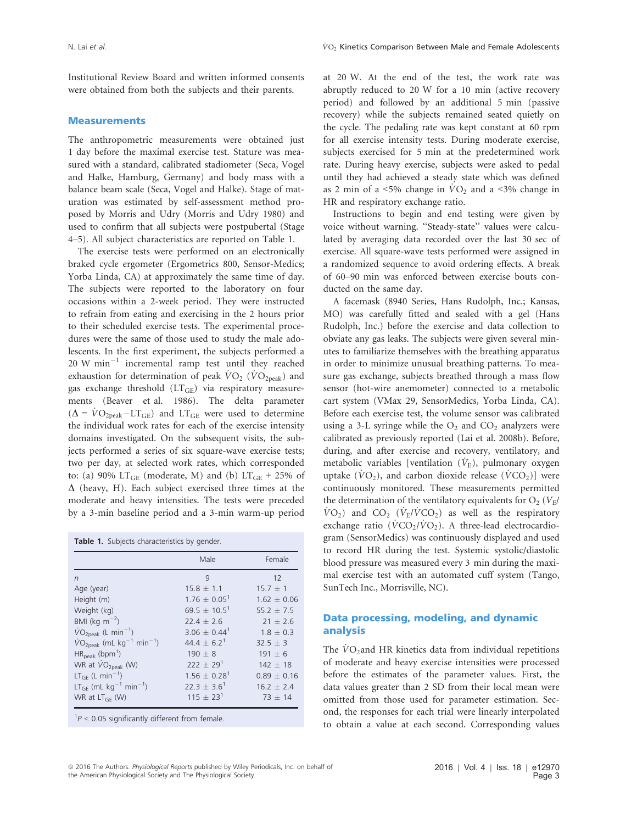Institutional Review Board and written informed consents were obtained from both the subjects and their parents.

#### **Measurements**

The anthropometric measurements were obtained just 1 day before the maximal exercise test. Stature was measured with a standard, calibrated stadiometer (Seca, Vogel and Halke, Hamburg, Germany) and body mass with a balance beam scale (Seca, Vogel and Halke). Stage of maturation was estimated by self-assessment method proposed by Morris and Udry (Morris and Udry 1980) and used to confirm that all subjects were postpubertal (Stage 4–5). All subject characteristics are reported on Table 1.

The exercise tests were performed on an electronically braked cycle ergometer (Ergometrics 800, Sensor-Medics; Yorba Linda, CA) at approximately the same time of day. The subjects were reported to the laboratory on four occasions within a 2-week period. They were instructed to refrain from eating and exercising in the 2 hours prior to their scheduled exercise tests. The experimental procedures were the same of those used to study the male adolescents. In the first experiment, the subjects performed a 20 W  $min^{-1}$  incremental ramp test until they reached exhaustion for determination of peak  $\dot{V}O_2$  ( $\dot{V}O_{2\text{peak}}$ ) and gas exchange threshold  $(LT_{GE})$  via respiratory measurements (Beaver et al. 1986). The delta parameter  $(\Delta = \dot{V}O_{2\text{peak}}-LT_{GE})$  and  $LT_{GE}$  were used to determine the individual work rates for each of the exercise intensity domains investigated. On the subsequent visits, the subjects performed a series of six square-wave exercise tests; two per day, at selected work rates, which corresponded to: (a) 90%  $LT<sub>GE</sub>$  (moderate, M) and (b)  $LT<sub>GE</sub> + 25%$  of  $\Delta$  (heavy, H). Each subject exercised three times at the moderate and heavy intensities. The tests were preceded by a 3-min baseline period and a 3-min warm-up period

|  |  | Table 1. Subjects characteristics by gender. |  |  |
|--|--|----------------------------------------------|--|--|
|--|--|----------------------------------------------|--|--|

|                                                    | Male                         | Female        |
|----------------------------------------------------|------------------------------|---------------|
| $\sqrt{n}$                                         | 9                            | 12            |
| Age (year)                                         | $15.8 + 1.1$                 | $15.7 + 1$    |
| Height (m)                                         | $1.76 \pm 0.05^1$            | $1.62 + 0.06$ |
| Weight (kg)                                        | 69.5 $\pm$ 10.5 <sup>1</sup> | $55.2 + 7.5$  |
| BMI (kg $m^{-2}$ )                                 | $22.4 \pm 2.6$               | $21 \pm 2.6$  |
| $VO2peak (L min-1)$                                | $3.06 + 0.44^1$              | $1.8 + 0.3$   |
| $VO2peak$ (mL kg <sup>-1</sup> min <sup>-1</sup> ) | $44.4 + 6.2^1$               | $32.5 + 3$    |
| $HR_{peak}$ (bpm <sup>1</sup> )                    | $190 \pm 8$                  | $191 + 6$     |
| WR at VO <sub>2peak</sub> (W)                      | $222 + 29^{1}$               | $142 + 18$    |
| $LT_{GF}$ (L min <sup>-1</sup> )                   | $1.56 + 0.28$ <sup>1</sup>   | $0.89 + 0.16$ |
| $LT_{GF}$ (mL kg <sup>-1</sup> min <sup>-1</sup> ) | $22.3 + 3.6^1$               | $16.2 + 2.4$  |
| WR at $LT_{GF}$ (W)                                | $115 + 23^{1}$               | $73 + 14$     |

 $1P < 0.05$  significantly different from female.

at 20 W. At the end of the test, the work rate was abruptly reduced to 20 W for a 10 min (active recovery period) and followed by an additional 5 min (passive recovery) while the subjects remained seated quietly on the cycle. The pedaling rate was kept constant at 60 rpm for all exercise intensity tests. During moderate exercise, subjects exercised for 5 min at the predetermined work rate. During heavy exercise, subjects were asked to pedal until they had achieved a steady state which was defined as 2 min of a <5% change in  $\rm\dot{V}O_2$  and a <3% change in HR and respiratory exchange ratio.

Instructions to begin and end testing were given by voice without warning. ''Steady-state'' values were calculated by averaging data recorded over the last 30 sec of exercise. All square-wave tests performed were assigned in a randomized sequence to avoid ordering effects. A break of 60–90 min was enforced between exercise bouts conducted on the same day.

A facemask (8940 Series, Hans Rudolph, Inc.; Kansas, MO) was carefully fitted and sealed with a gel (Hans Rudolph, Inc.) before the exercise and data collection to obviate any gas leaks. The subjects were given several minutes to familiarize themselves with the breathing apparatus in order to minimize unusual breathing patterns. To measure gas exchange, subjects breathed through a mass flow sensor (hot-wire anemometer) connected to a metabolic cart system (VMax 29, SensorMedics, Yorba Linda, CA). Before each exercise test, the volume sensor was calibrated using a 3-L syringe while the  $O_2$  and  $CO_2$  analyzers were calibrated as previously reported (Lai et al. 2008b). Before, during, and after exercise and recovery, ventilatory, and metabolic variables [ventilation  $(\dot{V}_E)$ , pulmonary oxygen uptake ( $\dot{V}O_2$ ), and carbon dioxide release ( $\dot{V}CO_2$ )] were continuously monitored. These measurements permitted the determination of the ventilatory equivalents for  $O_2$  ( $V_F$ /  $\rm \dot{V}O_2$ ) and  $\rm \ddot{CO}_2$  ( $\rm \dot{V}_{E}/\dot{V}CO_2$ ) as well as the respiratory exchange ratio ( $\dot{V}CO_2/\dot{V}O_2$ ). A three-lead electrocardiogram (SensorMedics) was continuously displayed and used to record HR during the test. Systemic systolic/diastolic blood pressure was measured every 3 min during the maximal exercise test with an automated cuff system (Tango, SunTech Inc., Morrisville, NC).

#### Data processing, modeling, and dynamic analysis

The  $VO<sub>2</sub>$  and HR kinetics data from individual repetitions of moderate and heavy exercise intensities were processed before the estimates of the parameter values. First, the data values greater than 2 SD from their local mean were omitted from those used for parameter estimation. Second, the responses for each trial were linearly interpolated to obtain a value at each second. Corresponding values

<sup>ª</sup> 2016 The Authors. Physiological Reports published by Wiley Periodicals, Inc. on behalf of the American Physiological Society and The Physiological Society.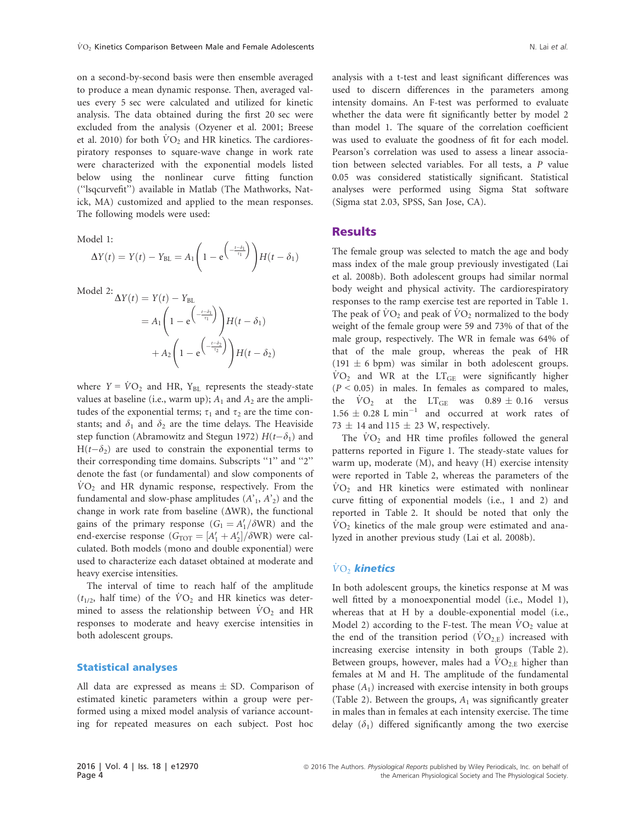on a second-by-second basis were then ensemble averaged to produce a mean dynamic response. Then, averaged values every 5 sec were calculated and utilized for kinetic analysis. The data obtained during the first 20 sec were excluded from the analysis (Ozyener et al. 2001; Breese et al. 2010) for both  $\dot{V}O_2$  and HR kinetics. The cardiorespiratory responses to square-wave change in work rate were characterized with the exponential models listed below using the nonlinear curve fitting function (''lsqcurvefit'') available in Matlab (The Mathworks, Natick, MA) customized and applied to the mean responses. The following models were used:

Model 1:

$$
\Delta Y(t) = Y(t) - Y_{BL} = A_1 \left( 1 - e^{\left( \frac{t - \delta_1}{\tau_1} \right)} \right) H(t - \delta_1)
$$

Model 2:  $\Delta Y(t) = Y(t) - Y_{BL}$ 

$$
= A_1 \left( 1 - e^{-\frac{t - \delta_1}{\tau_1}} \right) H(t - \delta_1)
$$

$$
+ A_2 \left( 1 - e^{-\frac{t - \delta_2}{\tau_2}} \right) H(t - \delta_2)
$$

where  $Y = \dot{V}O_2$  and HR, Y<sub>BL</sub> represents the steady-state values at baseline (i.e., warm up);  $A_1$  and  $A_2$  are the amplitudes of the exponential terms;  $\tau_1$  and  $\tau_2$  are the time constants; and  $\delta_1$  and  $\delta_2$  are the time delays. The Heaviside step function (Abramowitz and Stegun 1972)  $H(t-\delta_1)$  and  $H(t-\delta_2)$  are used to constrain the exponential terms to their corresponding time domains. Subscripts "1" and "2" denote the fast (or fundamental) and slow components of  $VO<sub>2</sub>$  and HR dynamic response, respectively. From the fundamental and slow-phase amplitudes  $(A'_1, A'_2)$  and the change in work rate from baseline  $(\Delta WR)$ , the functional gains of the primary response  $(G_1 = A'_1 / \delta WR)$  and the end-exercise response  $(G<sub>TOT</sub> = [A'<sub>1</sub> + A'<sub>2</sub>]/\delta WR)$  were calculated. Both models (mono and double exponential) were used to characterize each dataset obtained at moderate and heavy exercise intensities.

The interval of time to reach half of the amplitude  $(t_{1/2}$ , half time) of the  $VO<sub>2</sub>$  and HR kinetics was determined to assess the relationship between  $\dot{V}O_2$  and HR responses to moderate and heavy exercise intensities in both adolescent groups.

#### Statistical analyses

All data are expressed as means  $\pm$  SD. Comparison of estimated kinetic parameters within a group were performed using a mixed model analysis of variance accounting for repeated measures on each subject. Post hoc

analysis with a t-test and least significant differences was used to discern differences in the parameters among intensity domains. An F-test was performed to evaluate whether the data were fit significantly better by model 2 than model 1. The square of the correlation coefficient was used to evaluate the goodness of fit for each model. Pearson's correlation was used to assess a linear association between selected variables. For all tests, a P value 0.05 was considered statistically significant. Statistical analyses were performed using Sigma Stat software (Sigma stat 2.03, SPSS, San Jose, CA).

#### Results

The female group was selected to match the age and body mass index of the male group previously investigated (Lai et al. 2008b). Both adolescent groups had similar normal body weight and physical activity. The cardiorespiratory responses to the ramp exercise test are reported in Table 1. The peak of  $\dot{V}O_2$  and peak of  $\dot{V}O_2$  normalized to the body weight of the female group were 59 and 73% of that of the male group, respectively. The WR in female was 64% of that of the male group, whereas the peak of HR  $(191 \pm 6$  bpm) was similar in both adolescent groups.  $\dot{V}O_2$  and WR at the LT<sub>GE</sub> were significantly higher  $(P < 0.05)$  in males. In females as compared to males, the  $\text{VO}_2$  at the LT<sub>GE</sub> was  $0.89 \pm 0.16$  versus  $1.56 \pm 0.28$  L min<sup>-1</sup> and occurred at work rates of 73  $\pm$  14 and 115  $\pm$  23 W, respectively.

The  $VO<sub>2</sub>$  and HR time profiles followed the general patterns reported in Figure 1. The steady-state values for warm up, moderate (M), and heavy (H) exercise intensity were reported in Table 2, whereas the parameters of the  $\dot{V}O_2$  and HR kinetics were estimated with nonlinear curve fitting of exponential models (i.e., 1 and 2) and reported in Table 2. It should be noted that only the  $\dot{V}O_2$  kinetics of the male group were estimated and analyzed in another previous study (Lai et al. 2008b).

#### $\dot{\text{VO}}$  kinetics

In both adolescent groups, the kinetics response at M was well fitted by a monoexponential model (i.e., Model 1), whereas that at H by a double-exponential model (i.e., Model 2) according to the F-test. The mean  $\dot{V}O_2$  value at the end of the transition period  $(VO_{2,E})$  increased with increasing exercise intensity in both groups (Table 2). Between groups, however, males had a  $\rm\dot{VO}_{2,E}$  higher than females at M and H. The amplitude of the fundamental phase  $(A_1)$  increased with exercise intensity in both groups (Table 2). Between the groups,  $A_1$  was significantly greater in males than in females at each intensity exercise. The time delay  $(\delta_1)$  differed significantly among the two exercise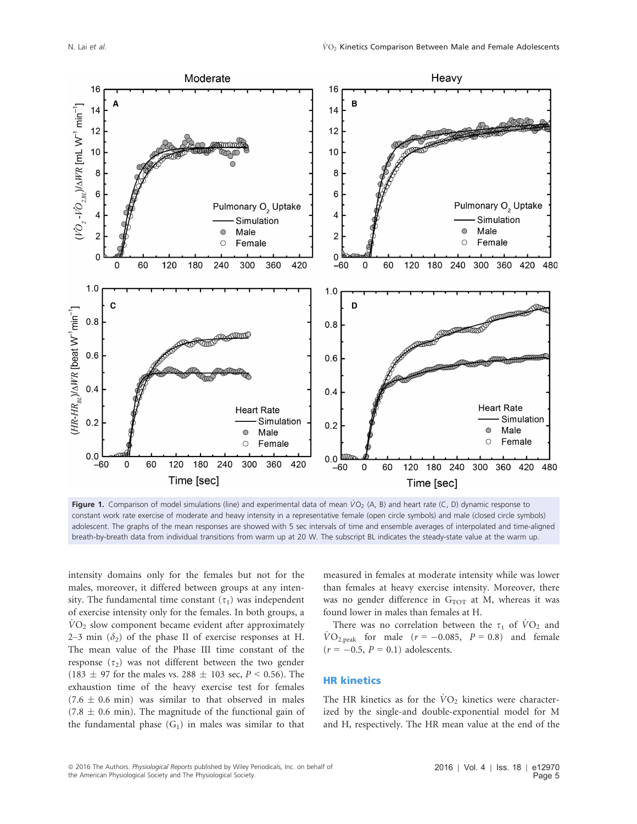

Figure 1. Comparison of model simulations (line) and experimental data of mean  $\dot{V}O_2$  (A, B) and heart rate (C, D) dynamic response to constant work rate exercise of moderate and heavy intensity in a representative female (open circle symbols) and male (closed circle symbols) adolescent. The graphs of the mean responses are showed with 5 sec intervals of time and ensemble averages of interpolated and time-aligned breath-by-breath data from individual transitions from warm up at 20 W. The subscript BL indicates the steady-state value at the warm up.

intensity domains only for the females but not for the males, moreover, it differed between groups at any intensity. The fundamental time constant  $(\tau_1)$  was independent of exercise intensity only for the females. In both groups, a  $VO<sub>2</sub>$  slow component became evident after approximately 2–3 min  $(\delta_2)$  of the phase II of exercise responses at H. The mean value of the Phase III time constant of the response  $(\tau_2)$  was not different between the two gender  $(183 \pm 97)$  for the males vs. 288  $\pm$  103 sec,  $P < 0.56$ ). The exhaustion time of the heavy exercise test for females  $(7.6 \pm 0.6 \text{ min})$  was similar to that observed in males  $(7.8 \pm 0.6 \text{ min})$ . The magnitude of the functional gain of the fundamental phase  $(G_1)$  in males was similar to that measured in females at moderate intensity while was lower than females at heavy exercise intensity. Moreover, there was no gender difference in  $G<sub>TOT</sub>$  at M, whereas it was found lower in males than females at H.

There was no correlation between the  $\tau_1$  of  $\dot{V}O_2$  and  $\text{VO}_{2,\text{peak}}$  for male ( $r = -0.085$ ,  $P = 0.8$ ) and female  $(r = -0.5, P = 0.1)$  adolescents.

#### HR kinetics

The HR kinetics as for the  $\dot{V}O_2$  kinetics were characterized by the single-and double-exponential model for M and H, respectively. The HR mean value at the end of the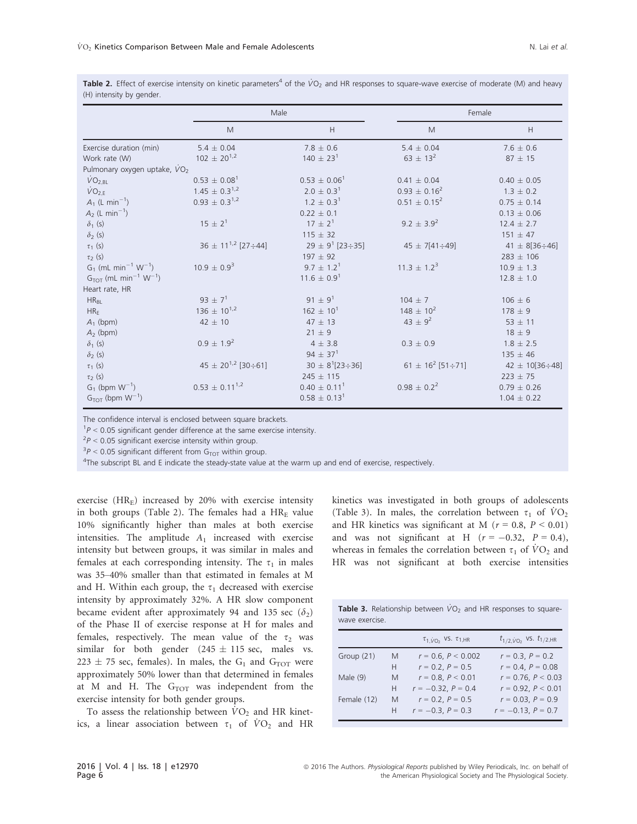|                                                   |                                   | Male                     |                                         | Female                    |  |  |
|---------------------------------------------------|-----------------------------------|--------------------------|-----------------------------------------|---------------------------|--|--|
|                                                   | M                                 | H                        | M                                       | H                         |  |  |
| Exercise duration (min)                           | $5.4 \pm 0.04$                    | $7.8 \pm 0.6$            | $5.4 \pm 0.04$                          | $7.6 \pm 0.6$             |  |  |
| Work rate (W)                                     | $102 \pm 20^{1,2}$                | $140 \pm 23^1$           | $63 \pm 13^2$                           | $87 \pm 15$               |  |  |
| Pulmonary oxygen uptake, VO2                      |                                   |                          |                                         |                           |  |  |
| $\dot{V}O_{2,BL}$                                 | $0.53 \pm 0.08^1$                 | $0.53 \pm 0.06^1$        | $0.41 \pm 0.04$                         | $0.40 \pm 0.05$           |  |  |
| $\dot{V}O_{2,E}$                                  | $1.45 \pm 0.3^{1,2}$              | $2.0 \pm 0.3^1$          | $0.93 \pm 0.16^2$                       | $1.3 \pm 0.2$             |  |  |
| $A_1$ (L min <sup>-1</sup> )                      | $0.93 \pm 0.3^{1,2}$              | $1.2 \pm 0.3^1$          | $0.51 \pm 0.15^2$                       | $0.75 + 0.14$             |  |  |
| $A_2$ (L min <sup>-1</sup> )                      |                                   | $0.22 \pm 0.1$           |                                         | $0.13 \pm 0.06$           |  |  |
| $\delta_1$ (s)                                    | $15 \pm 2^1$                      | $17 \pm 2^1$             | 9.2 $\pm$ 3.9 <sup>2</sup>              | $12.4 \pm 2.7$            |  |  |
| $\delta_2$ (s)                                    |                                   | $115 \pm 32$             |                                         | $151 \pm 47$              |  |  |
| $\tau_1$ (s)                                      | $36 \pm 11^{1,2}$ [27 $\div 44$ ] | $29 \pm 9^1$ [23÷35]     | $45 \pm 7[41 \div 49]$                  | 41 $\pm$ 8[36 $\div$ 46]  |  |  |
| $\tau_2$ (s)                                      |                                   | $197 \pm 92$             |                                         | $283 \pm 106$             |  |  |
| $G_1$ (mL min <sup>-1</sup> W <sup>-1</sup> )     | $10.9 \pm 0.9^3$                  | $9.7 \pm 1.2^1$          | $11.3 \pm 1.2^3$                        | $10.9 \pm 1.3$            |  |  |
| $G_{TOT}$ (mL min <sup>-1</sup> W <sup>-1</sup> ) |                                   | $11.6 \pm 0.9^1$         |                                         | $12.8 \pm 1.0$            |  |  |
| Heart rate, HR                                    |                                   |                          |                                         |                           |  |  |
| $HR_{BI}$                                         | 93 $\pm$ 7 <sup>1</sup>           | 91 $\pm$ 9 <sup>1</sup>  | $104 \pm 7$                             | $106 \pm 6$               |  |  |
| HR <sub>E</sub>                                   | $136 \pm 10^{1,2}$                | $162 \pm 10^{1}$         | $148 \pm 10^{2}$                        | $178 \pm 9$               |  |  |
| $A_1$ (bpm)                                       | $42 \pm 10$                       | $47 \pm 13$              | $43 \pm 9^2$                            | $53 \pm 11$               |  |  |
| $A_2$ (bpm)                                       |                                   | $21 \pm 9$               |                                         | $18 \pm 9$                |  |  |
| $\delta_1$ (s)                                    | $0.9 \pm 1.9^{2}$                 | $4 \pm 3.8$              | $0.3 \pm 0.9$                           | $1.8 \pm 2.5$             |  |  |
| $\delta_2$ (s)                                    |                                   | 94 $\pm$ 37 <sup>1</sup> |                                         | $135 \pm 46$              |  |  |
| $\tau_1$ (s)                                      | $45 \pm 20^{1,2}$ [30÷61]         | $30 \pm 8^{1}$ [23÷36]   | 61 $\pm$ 16 <sup>2</sup> [51 $\div$ 71] | 42 $\pm$ 10[36 $\div$ 48] |  |  |
| $\tau_2$ (s)                                      |                                   | $245 \pm 115$            |                                         | $223 \pm 75$              |  |  |
| $G_1$ (bpm $W^{-1}$ )                             | $0.53 \pm 0.11^{1,2}$             | $0.40 \pm 0.11^1$        | $0.98 \pm 0.2^2$                        | $0.79 \pm 0.26$           |  |  |
| $GTOT$ (bpm $W-1$ )                               |                                   | $0.58 \pm 0.13^1$        |                                         | $1.04 \pm 0.22$           |  |  |

Table 2. Effect of exercise intensity on kinetic parameters<sup>4</sup> of the  $VO_2$  and HR responses to square-wave exercise of moderate (M) and heavy (H) intensity by gender.

The confidence interval is enclosed between square brackets.

 $1<sup>1</sup>P < 0.05$  significant gender difference at the same exercise intensity.

 $P^2P < 0.05$  significant exercise intensity within group.

 ${}^{3}P$  < 0.05 significant different from  $G_{TOT}$  within group.

<sup>4</sup>The subscript BL and E indicate the steady-state value at the warm up and end of exercise, respectively.

exercise  $(HR<sub>E</sub>)$  increased by 20% with exercise intensity in both groups (Table 2). The females had a  $HR<sub>E</sub>$  value 10% significantly higher than males at both exercise intensities. The amplitude  $A_1$  increased with exercise intensity but between groups, it was similar in males and females at each corresponding intensity. The  $\tau_1$  in males was 35–40% smaller than that estimated in females at M and H. Within each group, the  $\tau_1$  decreased with exercise intensity by approximately 32%. A HR slow component became evident after approximately 94 and 135 sec  $(\delta_2)$ of the Phase II of exercise response at H for males and females, respectively. The mean value of the  $\tau_2$  was similar for both gender  $(245 \pm 115 \text{ sec}, \text{ males vs.})$  $223 \pm 75$  sec, females). In males, the G<sub>1</sub> and G<sub>TOT</sub> were approximately 50% lower than that determined in females at M and H. The  $G_{TOT}$  was independent from the exercise intensity for both gender groups.

To assess the relationship between  $\dot{V}O_2$  and HR kinetics, a linear association between  $\tau_1$  of  $\dot{V}O_2$  and HR kinetics was investigated in both groups of adolescents (Table 3). In males, the correlation between  $\tau_1$  of  $\dot{V}O_2$ and HR kinetics was significant at M ( $r = 0.8$ ,  $P < 0.01$ ) and was not significant at H  $(r = -0.32, P = 0.4)$ , whereas in females the correlation between  $\tau_1$  of  $\dot{V}O_2$  and HR was not significant at both exercise intensities

| Table 3. Relationship between $\dot{V}O_2$ and HR responses to square- |  |  |  |
|------------------------------------------------------------------------|--|--|--|
| wave exercise.                                                         |  |  |  |

|              |   | $\tau_{1,VO_2}$ VS. $\tau_{1,HR}$ | $t_{1/2,\dot{V}O_2}$ VS. $t_{1/2,HR}$ |
|--------------|---|-----------------------------------|---------------------------------------|
| Group $(21)$ | M | $r = 0.6, P < 0.002$              | $r = 0.3$ , $P = 0.2$                 |
|              | Н | $r = 0.2$ , $P = 0.5$             | $r = 0.4$ , $P = 0.08$                |
| Male $(9)$   | M | $r = 0.8, P < 0.01$               | $r = 0.76, P < 0.03$                  |
|              | Н | $r = -0.32$ , $P = 0.4$           | $r = 0.92, P < 0.01$                  |
| Female (12)  | M | $r = 0.2$ , $P = 0.5$             | $r = 0.03$ , $P = 0.9$                |
|              | н | $r = -0.3$ , $P = 0.3$            | $r = -0.13$ , $P = 0.7$               |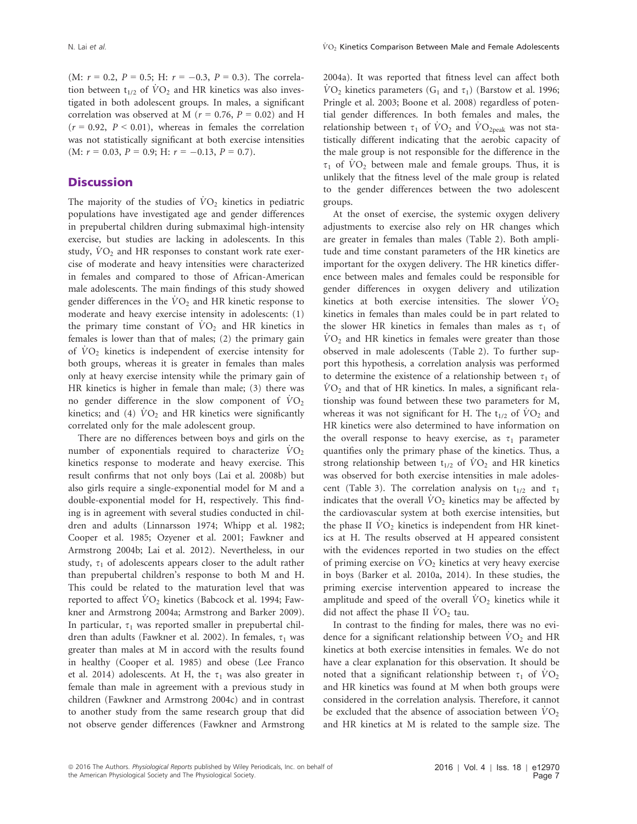(M:  $r = 0.2$ ,  $P = 0.5$ ; H:  $r = -0.3$ ,  $P = 0.3$ ). The correlation between  $t_{1/2}$  of  $\dot{V}\text{O}_2$  and HR kinetics was also investigated in both adolescent groups. In males, a significant correlation was observed at M ( $r = 0.76$ ,  $P = 0.02$ ) and H  $(r = 0.92, P < 0.01)$ , whereas in females the correlation was not statistically significant at both exercise intensities  $(M: r = 0.03, P = 0.9; H: r = -0.13, P = 0.7).$ 

#### **Discussion**

The majority of the studies of  $VO<sub>2</sub>$  kinetics in pediatric populations have investigated age and gender differences in prepubertal children during submaximal high-intensity exercise, but studies are lacking in adolescents. In this study,  $VO<sub>2</sub>$  and HR responses to constant work rate exercise of moderate and heavy intensities were characterized in females and compared to those of African-American male adolescents. The main findings of this study showed gender differences in the  $\rm\dot{VO_2}$  and HR kinetic response to moderate and heavy exercise intensity in adolescents: (1) the primary time constant of  $VO<sub>2</sub>$  and HR kinetics in females is lower than that of males; (2) the primary gain of  $VO<sub>2</sub>$  kinetics is independent of exercise intensity for both groups, whereas it is greater in females than males only at heavy exercise intensity while the primary gain of HR kinetics is higher in female than male; (3) there was no gender difference in the slow component of  $\rm\dot{VO}_{2}$ kinetics; and (4)  $VO<sub>2</sub>$  and HR kinetics were significantly correlated only for the male adolescent group.

There are no differences between boys and girls on the number of exponentials required to characterize  $\dot{V}O_2$ kinetics response to moderate and heavy exercise. This result confirms that not only boys (Lai et al. 2008b) but also girls require a single-exponential model for M and a double-exponential model for H, respectively. This finding is in agreement with several studies conducted in children and adults (Linnarsson 1974; Whipp et al. 1982; Cooper et al. 1985; Ozyener et al. 2001; Fawkner and Armstrong 2004b; Lai et al. 2012). Nevertheless, in our study,  $\tau_1$  of adolescents appears closer to the adult rather than prepubertal children's response to both M and H. This could be related to the maturation level that was reported to affect  $\dot{V}O_2$  kinetics (Babcock et al. 1994; Fawkner and Armstrong 2004a; Armstrong and Barker 2009). In particular,  $\tau_1$  was reported smaller in prepubertal children than adults (Fawkner et al. 2002). In females,  $\tau_1$  was greater than males at M in accord with the results found in healthy (Cooper et al. 1985) and obese (Lee Franco et al. 2014) adolescents. At H, the  $\tau_1$  was also greater in female than male in agreement with a previous study in children (Fawkner and Armstrong 2004c) and in contrast to another study from the same research group that did not observe gender differences (Fawkner and Armstrong 2004a). It was reported that fitness level can affect both  $VO<sub>2</sub>$  kinetics parameters (G<sub>1</sub> and  $\tau_1$ ) (Barstow et al. 1996; Pringle et al. 2003; Boone et al. 2008) regardless of potential gender differences. In both females and males, the relationship between  $\tau_1$  of  $\dot{V}O_2$  and  $\dot{V}O_{2\text{peak}}$  was not statistically different indicating that the aerobic capacity of the male group is not responsible for the difference in the  $\tau_1$  of  $\dot{V}O_2$  between male and female groups. Thus, it is unlikely that the fitness level of the male group is related to the gender differences between the two adolescent groups.

At the onset of exercise, the systemic oxygen delivery adjustments to exercise also rely on HR changes which are greater in females than males (Table 2). Both amplitude and time constant parameters of the HR kinetics are important for the oxygen delivery. The HR kinetics difference between males and females could be responsible for gender differences in oxygen delivery and utilization kinetics at both exercise intensities. The slower  $VO<sub>2</sub>$ kinetics in females than males could be in part related to the slower HR kinetics in females than males as  $\tau_1$  of  $VO<sub>2</sub>$  and HR kinetics in females were greater than those observed in male adolescents (Table 2). To further support this hypothesis, a correlation analysis was performed to determine the existence of a relationship between  $\tau_1$  of  $VO<sub>2</sub>$  and that of HR kinetics. In males, a significant relationship was found between these two parameters for M, whereas it was not significant for H. The  $t_{1/2}$  of  $VO_2$  and HR kinetics were also determined to have information on the overall response to heavy exercise, as  $\tau_1$  parameter quantifies only the primary phase of the kinetics. Thus, a strong relationship between  $t_{1/2}$  of  $\dot{V}O_2$  and HR kinetics was observed for both exercise intensities in male adolescent (Table 3). The correlation analysis on  $t_{1/2}$  and  $\tau_1$ indicates that the overall  $VO_2$  kinetics may be affected by the cardiovascular system at both exercise intensities, but the phase II  $\dot{V}O_2$  kinetics is independent from HR kinetics at H. The results observed at H appeared consistent with the evidences reported in two studies on the effect of priming exercise on  $VO<sub>2</sub>$  kinetics at very heavy exercise in boys (Barker et al. 2010a, 2014). In these studies, the priming exercise intervention appeared to increase the amplitude and speed of the overall  $\dot{V}O_2$  kinetics while it did not affect the phase II  $\dot{V}O_2$  tau.

In contrast to the finding for males, there was no evidence for a significant relationship between  $\dot{V}O_2$  and HR kinetics at both exercise intensities in females. We do not have a clear explanation for this observation. It should be noted that a significant relationship between  $\tau_1$  of  $\dot{V}O_2$ and HR kinetics was found at M when both groups were considered in the correlation analysis. Therefore, it cannot be excluded that the absence of association between  $VO<sub>2</sub>$ and HR kinetics at M is related to the sample size. The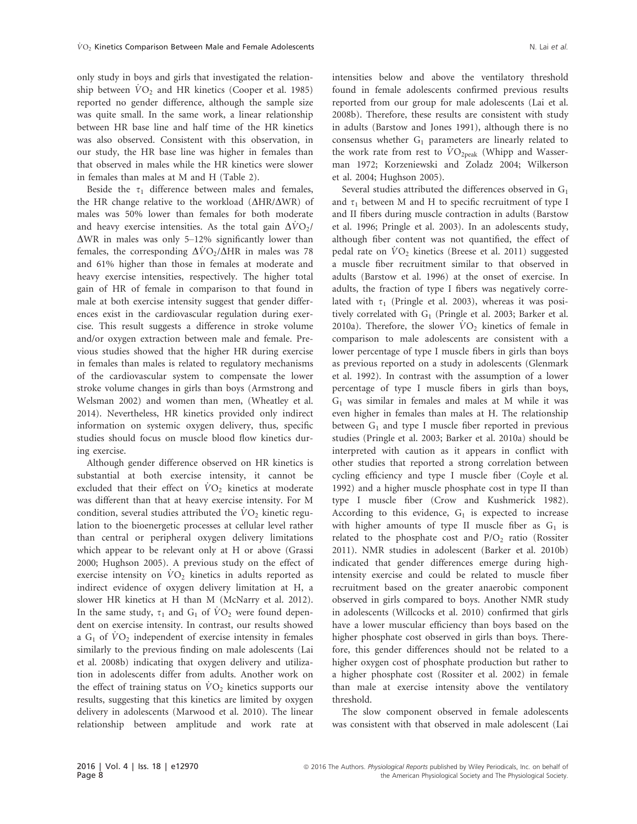only study in boys and girls that investigated the relationship between  $\dot{V}O_2$  and HR kinetics (Cooper et al. 1985) reported no gender difference, although the sample size was quite small. In the same work, a linear relationship between HR base line and half time of the HR kinetics was also observed. Consistent with this observation, in our study, the HR base line was higher in females than that observed in males while the HR kinetics were slower in females than males at M and H (Table 2).

Beside the  $\tau_1$  difference between males and females, the HR change relative to the workload  $(\Delta HR/\Delta WR)$  of males was 50% lower than females for both moderate and heavy exercise intensities. As the total gain  $\Delta VO_2/$  $\Delta$ WR in males was only 5–12% significantly lower than females, the corresponding  $\Delta VO_2/\Delta HR$  in males was 78 and 61% higher than those in females at moderate and heavy exercise intensities, respectively. The higher total gain of HR of female in comparison to that found in male at both exercise intensity suggest that gender differences exist in the cardiovascular regulation during exercise. This result suggests a difference in stroke volume and/or oxygen extraction between male and female. Previous studies showed that the higher HR during exercise in females than males is related to regulatory mechanisms of the cardiovascular system to compensate the lower stroke volume changes in girls than boys (Armstrong and Welsman 2002) and women than men, (Wheatley et al. 2014). Nevertheless, HR kinetics provided only indirect information on systemic oxygen delivery, thus, specific studies should focus on muscle blood flow kinetics during exercise.

Although gender difference observed on HR kinetics is substantial at both exercise intensity, it cannot be excluded that their effect on  $\dot{V}O_2$  kinetics at moderate was different than that at heavy exercise intensity. For M condition, several studies attributed the  $VO<sub>2</sub>$  kinetic regulation to the bioenergetic processes at cellular level rather than central or peripheral oxygen delivery limitations which appear to be relevant only at H or above (Grassi 2000; Hughson 2005). A previous study on the effect of exercise intensity on  $VO<sub>2</sub>$  kinetics in adults reported as indirect evidence of oxygen delivery limitation at H, a slower HR kinetics at H than M (McNarry et al. 2012). In the same study,  $\tau_1$  and  $G_1$  of  $VO_2$  were found dependent on exercise intensity. In contrast, our results showed a  $G_1$  of  $VO_2$  independent of exercise intensity in females similarly to the previous finding on male adolescents (Lai et al. 2008b) indicating that oxygen delivery and utilization in adolescents differ from adults. Another work on the effect of training status on  $\dot{V}O_2$  kinetics supports our results, suggesting that this kinetics are limited by oxygen delivery in adolescents (Marwood et al. 2010). The linear relationship between amplitude and work rate at intensities below and above the ventilatory threshold found in female adolescents confirmed previous results reported from our group for male adolescents (Lai et al. 2008b). Therefore, these results are consistent with study in adults (Barstow and Jones 1991), although there is no consensus whether  $G_1$  parameters are linearly related to the work rate from rest to  $\rm \dot{V}O_{2peak}$  (Whipp and Wasserman 1972; Korzeniewski and Zoladz 2004; Wilkerson et al. 2004; Hughson 2005).

Several studies attributed the differences observed in  $G_1$ and  $\tau_1$  between M and H to specific recruitment of type I and II fibers during muscle contraction in adults (Barstow et al. 1996; Pringle et al. 2003). In an adolescents study, although fiber content was not quantified, the effect of pedal rate on  $VO<sub>2</sub>$  kinetics (Breese et al. 2011) suggested a muscle fiber recruitment similar to that observed in adults (Barstow et al. 1996) at the onset of exercise. In adults, the fraction of type I fibers was negatively correlated with  $\tau_1$  (Pringle et al. 2003), whereas it was positively correlated with  $G_1$  (Pringle et al. 2003; Barker et al. 2010a). Therefore, the slower  $\dot{V}O_2$  kinetics of female in comparison to male adolescents are consistent with a lower percentage of type I muscle fibers in girls than boys as previous reported on a study in adolescents (Glenmark et al. 1992). In contrast with the assumption of a lower percentage of type I muscle fibers in girls than boys,  $G_1$  was similar in females and males at M while it was even higher in females than males at H. The relationship between  $G_1$  and type I muscle fiber reported in previous studies (Pringle et al. 2003; Barker et al. 2010a) should be interpreted with caution as it appears in conflict with other studies that reported a strong correlation between cycling efficiency and type I muscle fiber (Coyle et al. 1992) and a higher muscle phosphate cost in type II than type I muscle fiber (Crow and Kushmerick 1982). According to this evidence,  $G_1$  is expected to increase with higher amounts of type II muscle fiber as  $G_1$  is related to the phosphate cost and  $P/O<sub>2</sub>$  ratio (Rossiter 2011). NMR studies in adolescent (Barker et al. 2010b) indicated that gender differences emerge during highintensity exercise and could be related to muscle fiber recruitment based on the greater anaerobic component observed in girls compared to boys. Another NMR study in adolescents (Willcocks et al. 2010) confirmed that girls have a lower muscular efficiency than boys based on the higher phosphate cost observed in girls than boys. Therefore, this gender differences should not be related to a higher oxygen cost of phosphate production but rather to a higher phosphate cost (Rossiter et al. 2002) in female than male at exercise intensity above the ventilatory threshold.

The slow component observed in female adolescents was consistent with that observed in male adolescent (Lai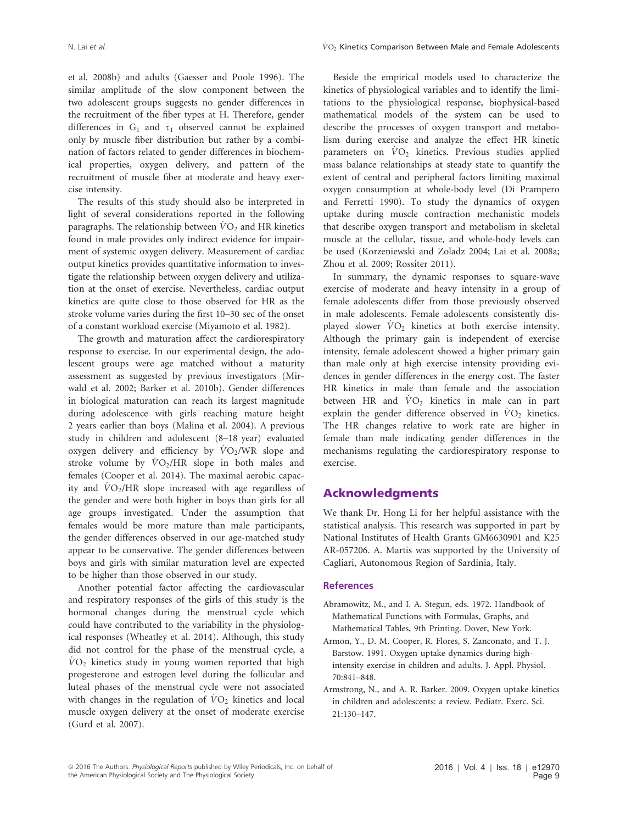et al. 2008b) and adults (Gaesser and Poole 1996). The similar amplitude of the slow component between the two adolescent groups suggests no gender differences in the recruitment of the fiber types at H. Therefore, gender differences in  $G_1$  and  $\tau_1$  observed cannot be explained only by muscle fiber distribution but rather by a combination of factors related to gender differences in biochemical properties, oxygen delivery, and pattern of the recruitment of muscle fiber at moderate and heavy exercise intensity.

The results of this study should also be interpreted in light of several considerations reported in the following paragraphs. The relationship between  $VO<sub>2</sub>$  and HR kinetics found in male provides only indirect evidence for impairment of systemic oxygen delivery. Measurement of cardiac output kinetics provides quantitative information to investigate the relationship between oxygen delivery and utilization at the onset of exercise. Nevertheless, cardiac output kinetics are quite close to those observed for HR as the stroke volume varies during the first 10–30 sec of the onset of a constant workload exercise (Miyamoto et al. 1982).

The growth and maturation affect the cardiorespiratory response to exercise. In our experimental design, the adolescent groups were age matched without a maturity assessment as suggested by previous investigators (Mirwald et al. 2002; Barker et al. 2010b). Gender differences in biological maturation can reach its largest magnitude during adolescence with girls reaching mature height 2 years earlier than boys (Malina et al. 2004). A previous study in children and adolescent (8–18 year) evaluated oxygen delivery and efficiency by  $\dot{V}O_2/WR$  slope and stroke volume by  $\text{VO}_2/\text{HR}$  slope in both males and females (Cooper et al. 2014). The maximal aerobic capacity and  $\dot{V}O_2/HR$  slope increased with age regardless of the gender and were both higher in boys than girls for all age groups investigated. Under the assumption that females would be more mature than male participants, the gender differences observed in our age-matched study appear to be conservative. The gender differences between boys and girls with similar maturation level are expected to be higher than those observed in our study.

Another potential factor affecting the cardiovascular and respiratory responses of the girls of this study is the hormonal changes during the menstrual cycle which could have contributed to the variability in the physiological responses (Wheatley et al. 2014). Although, this study did not control for the phase of the menstrual cycle, a  $\dot{V}O_2$  kinetics study in young women reported that high progesterone and estrogen level during the follicular and luteal phases of the menstrual cycle were not associated with changes in the regulation of  $\dot{V}O_2$  kinetics and local muscle oxygen delivery at the onset of moderate exercise (Gurd et al. 2007).

Beside the empirical models used to characterize the kinetics of physiological variables and to identify the limitations to the physiological response, biophysical-based mathematical models of the system can be used to describe the processes of oxygen transport and metabolism during exercise and analyze the effect HR kinetic parameters on  $\dot{V}O_2$  kinetics. Previous studies applied mass balance relationships at steady state to quantify the extent of central and peripheral factors limiting maximal oxygen consumption at whole-body level (Di Prampero and Ferretti 1990). To study the dynamics of oxygen uptake during muscle contraction mechanistic models that describe oxygen transport and metabolism in skeletal muscle at the cellular, tissue, and whole-body levels can be used (Korzeniewski and Zoladz 2004; Lai et al. 2008a; Zhou et al. 2009; Rossiter 2011).

In summary, the dynamic responses to square-wave exercise of moderate and heavy intensity in a group of female adolescents differ from those previously observed in male adolescents. Female adolescents consistently displayed slower  $\dot{V}O_2$  kinetics at both exercise intensity. Although the primary gain is independent of exercise intensity, female adolescent showed a higher primary gain than male only at high exercise intensity providing evidences in gender differences in the energy cost. The faster HR kinetics in male than female and the association between HR and  $\dot{V}O_2$  kinetics in male can in part explain the gender difference observed in  $\dot{V}O_2$  kinetics. The HR changes relative to work rate are higher in female than male indicating gender differences in the mechanisms regulating the cardiorespiratory response to exercise.

#### Acknowledgments

We thank Dr. Hong Li for her helpful assistance with the statistical analysis. This research was supported in part by National Institutes of Health Grants GM6630901 and K25 AR-057206. A. Martis was supported by the University of Cagliari, Autonomous Region of Sardinia, Italy.

#### **References**

- Abramowitz, M., and I. A. Stegun, eds. 1972. Handbook of Mathematical Functions with Formulas, Graphs, and Mathematical Tables, 9th Printing. Dover, New York.
- Armon, Y., D. M. Cooper, R. Flores, S. Zanconato, and T. J. Barstow. 1991. Oxygen uptake dynamics during highintensity exercise in children and adults. J. Appl. Physiol. 70:841–848.
- Armstrong, N., and A. R. Barker. 2009. Oxygen uptake kinetics in children and adolescents: a review. Pediatr. Exerc. Sci. 21:130–147.

<sup>ª</sup> 2016 The Authors. Physiological Reports published by Wiley Periodicals, Inc. on behalf of the American Physiological Society and The Physiological Society.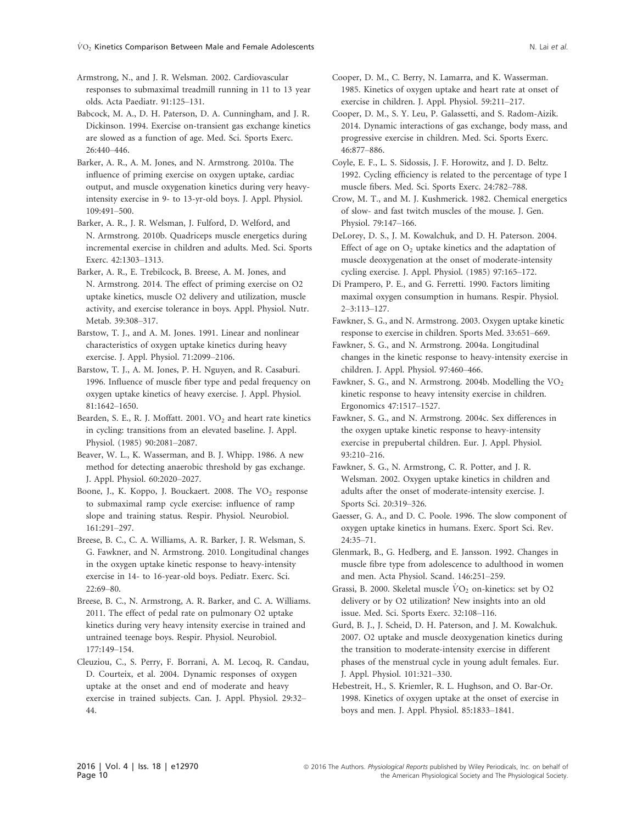Armstrong, N., and J. R. Welsman. 2002. Cardiovascular responses to submaximal treadmill running in 11 to 13 year olds. Acta Paediatr. 91:125–131.

Babcock, M. A., D. H. Paterson, D. A. Cunningham, and J. R. Dickinson. 1994. Exercise on-transient gas exchange kinetics are slowed as a function of age. Med. Sci. Sports Exerc. 26:440–446.

Barker, A. R., A. M. Jones, and N. Armstrong. 2010a. The influence of priming exercise on oxygen uptake, cardiac output, and muscle oxygenation kinetics during very heavyintensity exercise in 9- to 13-yr-old boys. J. Appl. Physiol. 109:491–500.

Barker, A. R., J. R. Welsman, J. Fulford, D. Welford, and N. Armstrong. 2010b. Quadriceps muscle energetics during incremental exercise in children and adults. Med. Sci. Sports Exerc. 42:1303–1313.

Barker, A. R., E. Trebilcock, B. Breese, A. M. Jones, and N. Armstrong. 2014. The effect of priming exercise on O2 uptake kinetics, muscle O2 delivery and utilization, muscle activity, and exercise tolerance in boys. Appl. Physiol. Nutr. Metab. 39:308–317.

Barstow, T. J., and A. M. Jones. 1991. Linear and nonlinear characteristics of oxygen uptake kinetics during heavy exercise. J. Appl. Physiol. 71:2099–2106.

Barstow, T. J., A. M. Jones, P. H. Nguyen, and R. Casaburi. 1996. Influence of muscle fiber type and pedal frequency on oxygen uptake kinetics of heavy exercise. J. Appl. Physiol. 81:1642–1650.

Bearden, S. E., R. J. Moffatt. 2001.  $VO<sub>2</sub>$  and heart rate kinetics in cycling: transitions from an elevated baseline. J. Appl. Physiol. (1985) 90:2081–2087.

Beaver, W. L., K. Wasserman, and B. J. Whipp. 1986. A new method for detecting anaerobic threshold by gas exchange. J. Appl. Physiol. 60:2020–2027.

Boone, J., K. Koppo, J. Bouckaert. 2008. The  $VO<sub>2</sub>$  response to submaximal ramp cycle exercise: influence of ramp slope and training status. Respir. Physiol. Neurobiol. 161:291–297.

Breese, B. C., C. A. Williams, A. R. Barker, J. R. Welsman, S. G. Fawkner, and N. Armstrong. 2010. Longitudinal changes in the oxygen uptake kinetic response to heavy-intensity exercise in 14- to 16-year-old boys. Pediatr. Exerc. Sci.  $22.69 - 80$ 

Breese, B. C., N. Armstrong, A. R. Barker, and C. A. Williams. 2011. The effect of pedal rate on pulmonary O2 uptake kinetics during very heavy intensity exercise in trained and untrained teenage boys. Respir. Physiol. Neurobiol. 177:149–154.

Cleuziou, C., S. Perry, F. Borrani, A. M. Lecoq, R. Candau, D. Courteix, et al. 2004. Dynamic responses of oxygen uptake at the onset and end of moderate and heavy exercise in trained subjects. Can. J. Appl. Physiol. 29:32– 44.

Cooper, D. M., C. Berry, N. Lamarra, and K. Wasserman. 1985. Kinetics of oxygen uptake and heart rate at onset of exercise in children. J. Appl. Physiol. 59:211–217.

Cooper, D. M., S. Y. Leu, P. Galassetti, and S. Radom-Aizik. 2014. Dynamic interactions of gas exchange, body mass, and progressive exercise in children. Med. Sci. Sports Exerc. 46:877–886.

Coyle, E. F., L. S. Sidossis, J. F. Horowitz, and J. D. Beltz. 1992. Cycling efficiency is related to the percentage of type I muscle fibers. Med. Sci. Sports Exerc. 24:782–788.

Crow, M. T., and M. J. Kushmerick. 1982. Chemical energetics of slow- and fast twitch muscles of the mouse. J. Gen. Physiol. 79:147–166.

DeLorey, D. S., J. M. Kowalchuk, and D. H. Paterson. 2004. Effect of age on  $O_2$  uptake kinetics and the adaptation of muscle deoxygenation at the onset of moderate-intensity cycling exercise. J. Appl. Physiol. (1985) 97:165–172.

Di Prampero, P. E., and G. Ferretti. 1990. Factors limiting maximal oxygen consumption in humans. Respir. Physiol. 2–3:113–127.

Fawkner, S. G., and N. Armstrong. 2003. Oxygen uptake kinetic response to exercise in children. Sports Med. 33:651–669.

Fawkner, S. G., and N. Armstrong. 2004a. Longitudinal changes in the kinetic response to heavy-intensity exercise in children. J. Appl. Physiol. 97:460–466.

Fawkner, S. G., and N. Armstrong. 2004b. Modelling the  $VO<sub>2</sub>$ kinetic response to heavy intensity exercise in children. Ergonomics 47:1517–1527.

Fawkner, S. G., and N. Armstrong. 2004c. Sex differences in the oxygen uptake kinetic response to heavy-intensity exercise in prepubertal children. Eur. J. Appl. Physiol. 93:210–216.

Fawkner, S. G., N. Armstrong, C. R. Potter, and J. R. Welsman. 2002. Oxygen uptake kinetics in children and adults after the onset of moderate-intensity exercise. J. Sports Sci. 20:319–326.

Gaesser, G. A., and D. C. Poole. 1996. The slow component of oxygen uptake kinetics in humans. Exerc. Sport Sci. Rev. 24:35–71.

Glenmark, B., G. Hedberg, and E. Jansson. 1992. Changes in muscle fibre type from adolescence to adulthood in women and men. Acta Physiol. Scand. 146:251–259.

Grassi, B. 2000. Skeletal muscle  $\dot{V}O_2$  on-kinetics: set by O2 delivery or by O2 utilization? New insights into an old issue. Med. Sci. Sports Exerc. 32:108–116.

Gurd, B. J., J. Scheid, D. H. Paterson, and J. M. Kowalchuk. 2007. O2 uptake and muscle deoxygenation kinetics during the transition to moderate-intensity exercise in different phases of the menstrual cycle in young adult females. Eur. J. Appl. Physiol. 101:321–330.

Hebestreit, H., S. Kriemler, R. L. Hughson, and O. Bar-Or. 1998. Kinetics of oxygen uptake at the onset of exercise in boys and men. J. Appl. Physiol. 85:1833–1841.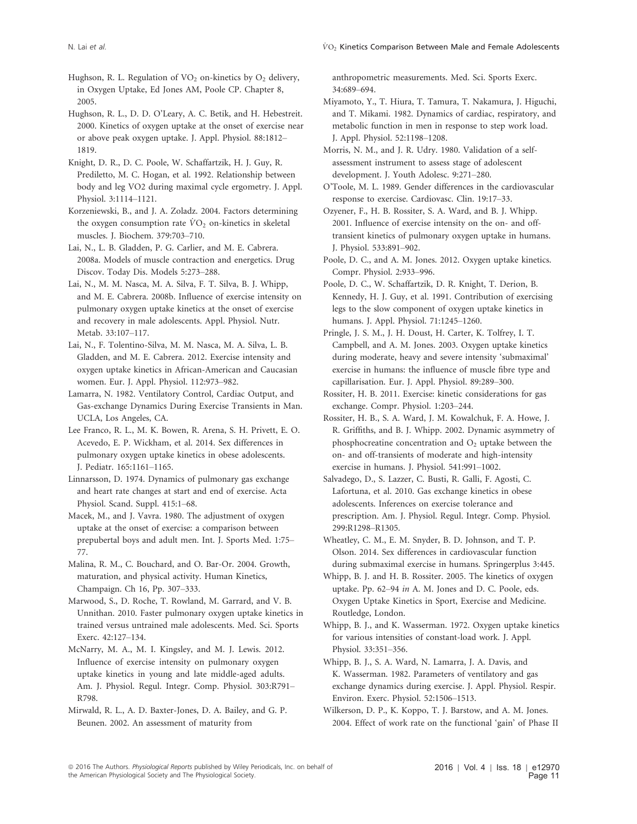Hughson, R. L. Regulation of  $VO<sub>2</sub>$  on-kinetics by  $O<sub>2</sub>$  delivery, in Oxygen Uptake, Ed Jones AM, Poole CP. Chapter 8, 2005.

Hughson, R. L., D. D. O'Leary, A. C. Betik, and H. Hebestreit. 2000. Kinetics of oxygen uptake at the onset of exercise near or above peak oxygen uptake. J. Appl. Physiol. 88:1812– 1819.

Knight, D. R., D. C. Poole, W. Schaffartzik, H. J. Guy, R. Prediletto, M. C. Hogan, et al. 1992. Relationship between body and leg VO2 during maximal cycle ergometry. J. Appl. Physiol. 3:1114–1121.

Korzeniewski, B., and J. A. Zoladz. 2004. Factors determining the oxygen consumption rate  $\dot{V}O_2$  on-kinetics in skeletal muscles. J. Biochem. 379:703–710.

Lai, N., L. B. Gladden, P. G. Carlier, and M. E. Cabrera. 2008a. Models of muscle contraction and energetics. Drug Discov. Today Dis. Models 5:273–288.

Lai, N., M. M. Nasca, M. A. Silva, F. T. Silva, B. J. Whipp, and M. E. Cabrera. 2008b. Influence of exercise intensity on pulmonary oxygen uptake kinetics at the onset of exercise and recovery in male adolescents. Appl. Physiol. Nutr. Metab. 33:107–117.

Lai, N., F. Tolentino-Silva, M. M. Nasca, M. A. Silva, L. B. Gladden, and M. E. Cabrera. 2012. Exercise intensity and oxygen uptake kinetics in African-American and Caucasian women. Eur. J. Appl. Physiol. 112:973–982.

Lamarra, N. 1982. Ventilatory Control, Cardiac Output, and Gas-exchange Dynamics During Exercise Transients in Man. UCLA, Los Angeles, CA.

Lee Franco, R. L., M. K. Bowen, R. Arena, S. H. Privett, E. O. Acevedo, E. P. Wickham, et al. 2014. Sex differences in pulmonary oxygen uptake kinetics in obese adolescents. J. Pediatr. 165:1161–1165.

Linnarsson, D. 1974. Dynamics of pulmonary gas exchange and heart rate changes at start and end of exercise. Acta Physiol. Scand. Suppl. 415:1–68.

Macek, M., and J. Vavra. 1980. The adjustment of oxygen uptake at the onset of exercise: a comparison between prepubertal boys and adult men. Int. J. Sports Med. 1:75– 77.

Malina, R. M., C. Bouchard, and O. Bar-Or. 2004. Growth, maturation, and physical activity. Human Kinetics, Champaign. Ch 16, Pp. 307–333.

Marwood, S., D. Roche, T. Rowland, M. Garrard, and V. B. Unnithan. 2010. Faster pulmonary oxygen uptake kinetics in trained versus untrained male adolescents. Med. Sci. Sports Exerc. 42:127–134.

McNarry, M. A., M. I. Kingsley, and M. J. Lewis. 2012. Influence of exercise intensity on pulmonary oxygen uptake kinetics in young and late middle-aged adults. Am. J. Physiol. Regul. Integr. Comp. Physiol. 303:R791– R798.

Mirwald, R. L., A. D. Baxter-Jones, D. A. Bailey, and G. P. Beunen. 2002. An assessment of maturity from

anthropometric measurements. Med. Sci. Sports Exerc. 34:689–694.

Miyamoto, Y., T. Hiura, T. Tamura, T. Nakamura, J. Higuchi, and T. Mikami. 1982. Dynamics of cardiac, respiratory, and metabolic function in men in response to step work load. J. Appl. Physiol. 52:1198–1208.

Morris, N. M., and J. R. Udry. 1980. Validation of a selfassessment instrument to assess stage of adolescent development. J. Youth Adolesc. 9:271–280.

O'Toole, M. L. 1989. Gender differences in the cardiovascular response to exercise. Cardiovasc. Clin. 19:17–33.

Ozyener, F., H. B. Rossiter, S. A. Ward, and B. J. Whipp. 2001. Influence of exercise intensity on the on- and offtransient kinetics of pulmonary oxygen uptake in humans. J. Physiol. 533:891–902.

Poole, D. C., and A. M. Jones. 2012. Oxygen uptake kinetics. Compr. Physiol. 2:933–996.

Poole, D. C., W. Schaffartzik, D. R. Knight, T. Derion, B. Kennedy, H. J. Guy, et al. 1991. Contribution of exercising legs to the slow component of oxygen uptake kinetics in humans. J. Appl. Physiol. 71:1245–1260.

Pringle, J. S. M., J. H. Doust, H. Carter, K. Tolfrey, I. T. Campbell, and A. M. Jones. 2003. Oxygen uptake kinetics during moderate, heavy and severe intensity 'submaximal' exercise in humans: the influence of muscle fibre type and capillarisation. Eur. J. Appl. Physiol. 89:289–300.

Rossiter, H. B. 2011. Exercise: kinetic considerations for gas exchange. Compr. Physiol. 1:203–244.

Rossiter, H. B., S. A. Ward, J. M. Kowalchuk, F. A. Howe, J. R. Griffiths, and B. J. Whipp. 2002. Dynamic asymmetry of phosphocreatine concentration and  $O<sub>2</sub>$  uptake between the on- and off-transients of moderate and high-intensity exercise in humans. J. Physiol. 541:991–1002.

Salvadego, D., S. Lazzer, C. Busti, R. Galli, F. Agosti, C. Lafortuna, et al. 2010. Gas exchange kinetics in obese adolescents. Inferences on exercise tolerance and prescription. Am. J. Physiol. Regul. Integr. Comp. Physiol. 299:R1298–R1305.

Wheatley, C. M., E. M. Snyder, B. D. Johnson, and T. P. Olson. 2014. Sex differences in cardiovascular function during submaximal exercise in humans. Springerplus 3:445.

Whipp, B. J. and H. B. Rossiter. 2005. The kinetics of oxygen uptake. Pp. 62–94 in A. M. Jones and D. C. Poole, eds. Oxygen Uptake Kinetics in Sport, Exercise and Medicine. Routledge, London.

Whipp, B. J., and K. Wasserman. 1972. Oxygen uptake kinetics for various intensities of constant-load work. J. Appl. Physiol. 33:351–356.

Whipp, B. J., S. A. Ward, N. Lamarra, J. A. Davis, and K. Wasserman. 1982. Parameters of ventilatory and gas exchange dynamics during exercise. J. Appl. Physiol. Respir. Environ. Exerc. Physiol. 52:1506–1513.

Wilkerson, D. P., K. Koppo, T. J. Barstow, and A. M. Jones. 2004. Effect of work rate on the functional 'gain' of Phase II

<sup>ª</sup> 2016 The Authors. Physiological Reports published by Wiley Periodicals, Inc. on behalf of the American Physiological Society and The Physiological Society.